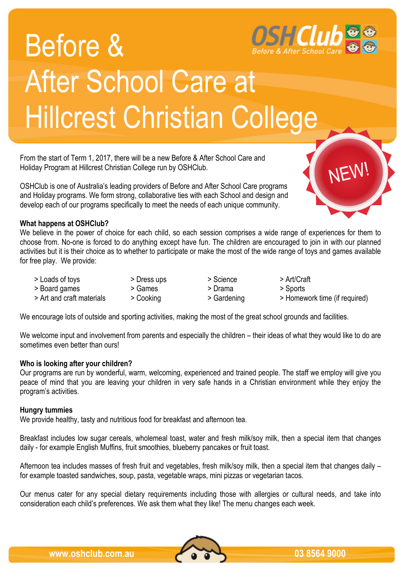

# Before & After School Care at Hillcrest Christian College

From the start of Term 1, 2017, there will be a new Before & After School Care and Holiday Program at Hillcrest Christian College run by OSHClub.

OSHClub is one of Australia's leading providers of Before and After School Care programs and Holiday programs. We form strong, collaborative ties with each School and design and develop each of our programs specifically to meet the needs of each unique community.

## **What happens at OSHClub?**

We believe in the power of choice for each child, so each session comprises a wide range of experiences for them to choose from. No-one is forced to do anything except have fun. The children are encouraged to join in with our planned activities but it is their choice as to whether to participate or make the most of the wide range of toys and games available for free play. We provide:

- > Loads of toys > Dress ups > Science > Art/Craft
	-
	- -
- > Board games > Games > Drama > Sports
- -
- > Art and craft materials > Cooking > Gardening > Homework time (if required)

NEW!

We encourage lots of outside and sporting activities, making the most of the great school grounds and facilities.

We welcome input and involvement from parents and especially the children – their ideas of what they would like to do are sometimes even better than ours!

### **Who is looking after your children?**

Our programs are run by wonderful, warm, welcoming, experienced and trained people. The staff we employ will give you peace of mind that you are leaving your children in very safe hands in a Christian environment while they enjoy the program's activities.

#### **Hungry tummies**

We provide healthy, tasty and nutritious food for breakfast and afternoon tea.

Breakfast includes low sugar cereals, wholemeal toast, water and fresh milk/soy milk, then a special item that changes daily - for example English Muffins, fruit smoothies, blueberry pancakes or fruit toast.

Afternoon tea includes masses of fresh fruit and vegetables, fresh milk/soy milk, then a special item that changes daily – for example toasted sandwiches, soup, pasta, vegetable wraps, mini pizzas or vegetarian tacos.

Our menus cater for any special dietary requirements including those with allergies or cultural needs, and take into consideration each child's preferences. We ask them what they like! The menu changes each week.